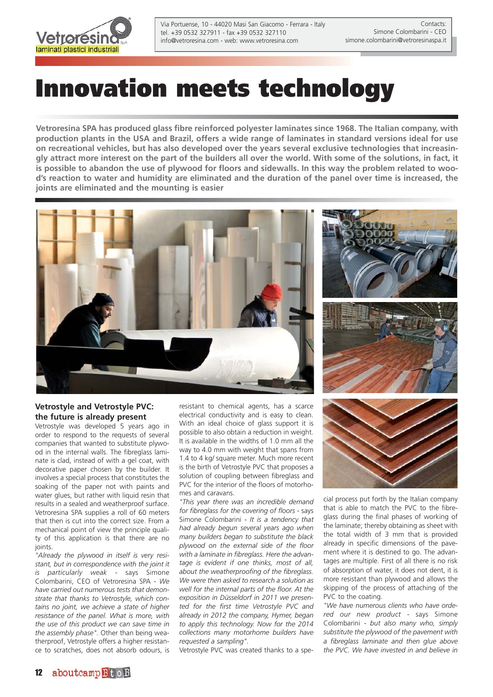

Via Portuense, 10 - 44020 Masi San Giacomo - Ferrara - Italy tel. +39 0532 327911 - fax +39 0532 327110 info@vetroresina.com - web: www.vetroresina.com

# **Innovation meets technology**

**Vetroresina SPA has produced glass fibre reinforced polyester laminates since 1968. The Italian company, with production plants in the USA and Brazil, offers a wide range of laminates in standard versions ideal for use on recreational vehicles, but has also developed over the years several exclusive technologies that increasingly attract more interest on the part of the builders all over the world. With some of the solutions, in fact, it is possible to abandon the use of plywood for floors and sidewalls. In this way the problem related to wood's reaction to water and humidity are eliminated and the duration of the panel over time is increased, the joints are eliminated and the mounting is easier**



## **Vetrostyle and Vetrostyle PVC: the future is already present**

Vetrostyle was developed 5 years ago in order to respond to the requests of several companies that wanted to substitute plywood in the internal walls. The fibreglass laminate is clad, instead of with a gel coat, with decorative paper chosen by the builder. It involves a special process that constitutes the soaking of the paper not with paints and water glues, but rather with liquid resin that results in a sealed and weatherproof surface. Vetroresina SPA supplies a roll of 60 meters that then is cut into the correct size. From a mechanical point of view the principle quality of this application is that there are no joints.

*"Already the plywood in itself is very resistant, but in correspondence with the joint it is particularly weak -* says Simone Colombarini, CEO of Vetroresina SPA *- We have carried out numerous tests that demonstrate that thanks to Vetrostyle, which contains no joint, we achieve a state of higher resistance of the panel. What is more, with the use of this product we can save time in the assembly phase".* Other than being weatherproof, Vetrostyle offers a higher resistance to scratches, does not absorb odours, is resistant to chemical agents, has a scarce electrical conductivity and is easy to clean. With an ideal choice of glass support it is possible to also obtain a reduction in weight. It is available in the widths of 1.0 mm all the way to 4.0 mm with weight that spans from 1.4 to 4 kg/ square meter. Much more recent is the birth of Vetrostyle PVC that proposes a solution of coupling between fibreglass and PVC for the interior of the floors of motorhomes and caravans.

*"This year there was an incredible demand for fibreglass for the covering of floors -* says Simone Colombarini - *It is a tendency that had already begun several years ago when many builders began to substitute the black plywood on the external side of the floor with a laminate in fibreglass. Here the advantage is evident if one thinks, most of all, about the weatherproofing of the fibreglass. We were then asked to research a solution as well for the internal parts of the floor. At the exposition in Düsseldorf in 2011 we presented for the first time Vetrostyle PVC and already in 2012 the company, Hymer, began to apply this technology. Now for the 2014 collections many motorhome builders have requested a sampling".* 

Vetrostyle PVC was created thanks to a spe-



cial process put forth by the Italian company that is able to match the PVC to the fibreglass during the final phases of working of the laminate; thereby obtaining as sheet with the total width of 3 mm that is provided already in specific dimensions of the pavement where it is destined to go. The advantages are multiple. First of all there is no risk of absorption of water, it does not dent, it is more resistant than plywood and allows the skipping of the process of attaching of the PVC to the coating.

*"We have numerous clients who have ordered our new product -* says Simone Colombarini *- but also many who, simply substitute the plywood of the pavement with a fibreglass laminate and then glue above the PVC. We have invested in and believe in*